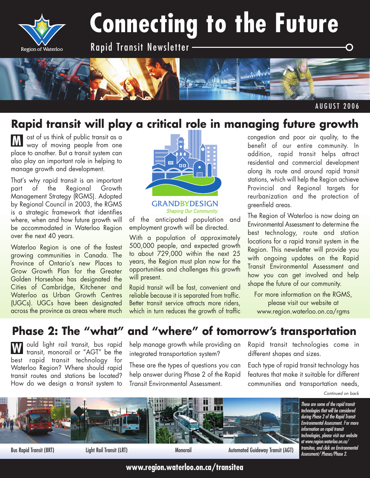

# **Connecting to the Future**

Rapid Transit Newsletter



#### AUGUST 2006

### **Rapid transit will play a critical role in managing future growth**

ost of us think of public transit as a way of moving people from one place to another. But a transit system can also play an important role in helping to manage growth and development. **M**

That's why rapid transit is an important part of the Regional Growth Management Strategy (RGMS). Adopted by Regional Council in 2003, the RGMS is a strategic framework that identifies where, when and how future growth will be accommodated in Waterloo Region over the next 40 years.

Waterloo Region is one of the fastest growing communities in Canada. The Province of Ontario's new Places to Grow Growth Plan for the Greater Golden Horseshoe has designated the Cities of Cambridge, Kitchener and Waterloo as Urban Growth Centres (UGCs). UGCs have been designated across the province as areas where much



**GRANDBYDESIGN Shaping Our Community** 

of the anticipated population and employment growth will be directed.

With a population of approximately 500,000 people, and expected growth to about 729,000 within the next 25 years, the Region must plan now for the opportunities and challenges this growth will present.

Rapid transit will be fast, convenient and reliable because it is separated from traffic. Better transit service attracts more riders, which in turn reduces the growth of traffic congestion and poor air quality, to the benefit of our entire community. In addition, rapid transit helps attract residential and commercial development along its route and around rapid transit stations, which will help the Region achieve Provincial and Regional targets for reurbanization and the protection of greenfield areas.

The Region of Waterloo is now doing an Environmental Assessment to determine the best technology, route and station locations for a rapid transit system in the Region. This newsletter will provide you with ongoing updates on the Rapid Transit Environmental Assessment and how you can get involved and help shape the future of our community.

For more information on the RGMS, please visit our website at www.region.waterloo.on.ca/rgms

## **Phase 2: The "what" and "where" of tomorrow's transportation**

ould light rail transit, bus rapid transit, monorail or "AGT" be the best rapid transit technology for Waterloo Region? Where should rapid transit routes and stations be located? How do we design a transit system to **W**

help manage growth while providing an integrated transportation system?

These are the types of questions you can help answer during Phase 2 of the Rapid Transit Environmental Assessment.

Rapid transit technologies come in different shapes and sizes.

Each type of rapid transit technology has features that make it suitable for different communities and transportation needs,

*Continued on back*



Bus Rapid Transit (BRT) Light Rail Transit (LRT) Monorail Automated Guideway Transit (AGT) *Transitea, and click on Environ*<br>Assessment/ Phases/Phase 2.

*These are some of the rapid transit technologies that will be considered during Phase 2 of the Rapid Transit Environmental Assessment. For more information on rapid transit technologies, please visit our website at www.region.waterloo.on.ca/ transitea, and click on Environmental*

**www.region.waterloo.on.ca/transitea**